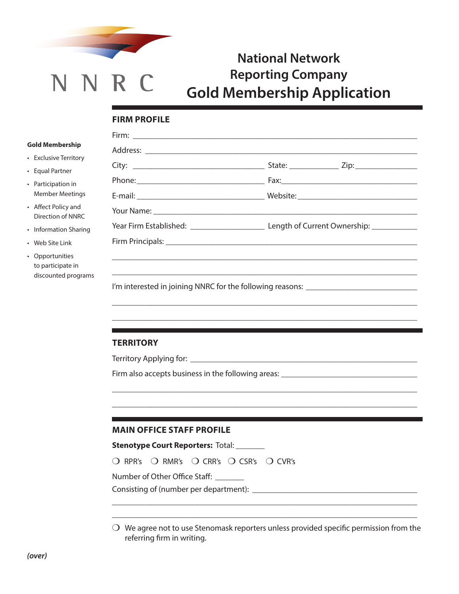

# **National Network Reporting Company Gold Membership Application**

# **FIRM PROFILE**

#### **Gold Membership**

- Exclusive Territory
- Equal Partner
- Participation in Member Meetings
- Affect Policy and Direction of NNRC
- Information Sharing
- Web Site Link
- Opportunities to participate in discounted programs

| Your Name: 1988 Management of the Contract of the Contract of the Contract of the Contract of the Contract of the Contract of the Contract of the Contract of the Contract of the Contract of the Contract of the Contract of |  |
|-------------------------------------------------------------------------------------------------------------------------------------------------------------------------------------------------------------------------------|--|
|                                                                                                                                                                                                                               |  |
|                                                                                                                                                                                                                               |  |

\_\_\_\_\_\_\_\_\_\_\_\_\_\_\_\_\_\_\_\_\_\_\_\_\_\_\_\_\_\_\_\_\_\_\_\_\_\_\_\_\_\_\_\_\_\_\_\_\_\_\_\_\_\_\_\_\_\_\_\_\_\_\_\_\_\_\_\_\_\_\_\_\_\_

\_\_\_\_\_\_\_\_\_\_\_\_\_\_\_\_\_\_\_\_\_\_\_\_\_\_\_\_\_\_\_\_\_\_\_\_\_\_\_\_\_\_\_\_\_\_\_\_\_\_\_\_\_\_\_\_\_\_\_\_\_\_\_\_\_\_\_\_\_\_\_\_\_\_

\_\_\_\_\_\_\_\_\_\_\_\_\_\_\_\_\_\_\_\_\_\_\_\_\_\_\_\_\_\_\_\_\_\_\_\_\_\_\_\_\_\_\_\_\_\_\_\_\_\_\_\_\_\_\_\_\_\_\_\_\_\_\_\_\_\_\_\_\_\_\_\_\_\_

\_\_\_\_\_\_\_\_\_\_\_\_\_\_\_\_\_\_\_\_\_\_\_\_\_\_\_\_\_\_\_\_\_\_\_\_\_\_\_\_\_\_\_\_\_\_\_\_\_\_\_\_\_\_\_\_\_\_\_\_\_\_\_\_\_\_\_\_\_\_\_\_\_\_

I'm interested in joining NNRC for the following reasons: \_\_\_\_\_\_\_\_\_\_\_\_\_\_\_\_\_\_\_\_\_\_

# **TERRITORY**

Territory Applying for: \_\_\_\_\_\_\_\_\_\_\_\_\_\_\_\_\_\_\_\_\_\_\_\_\_\_\_\_\_\_\_\_\_\_\_\_\_\_\_\_\_\_\_\_\_\_\_\_\_\_\_\_\_\_\_

Firm also accepts business in the following areas: \_\_\_\_\_\_\_\_\_\_\_\_\_\_\_\_\_\_\_\_\_\_\_\_\_\_\_\_\_

# **MAIN OFFICE STAFF PROFILE**

| <b>Stenotype Court Reporters: Total:</b>                                             |  |
|--------------------------------------------------------------------------------------|--|
| $\bigcirc$ RPR's $\bigcirc$ RMR's $\bigcirc$ CRR's $\bigcirc$ CSR's $\bigcirc$ CVR's |  |
| Number of Other Office Staff:                                                        |  |
| Consisting of (number per department):                                               |  |

\_\_\_\_\_\_\_\_\_\_\_\_\_\_\_\_\_\_\_\_\_\_\_\_\_\_\_\_\_\_\_\_\_\_\_\_\_\_\_\_\_\_\_\_\_\_\_\_\_\_\_\_\_\_\_\_\_\_\_\_\_\_\_\_\_\_\_\_\_\_\_\_\_\_ \_\_\_\_\_\_\_\_\_\_\_\_\_\_\_\_\_\_\_\_\_\_\_\_\_\_\_\_\_\_\_\_\_\_\_\_\_\_\_\_\_\_\_\_\_\_\_\_\_\_\_\_\_\_\_\_\_\_\_\_\_\_\_\_\_\_\_\_\_\_\_\_\_\_

 $\overline{O}$  We agree not to use Stenomask reporters unless provided specific permission from the referring firm in writing.